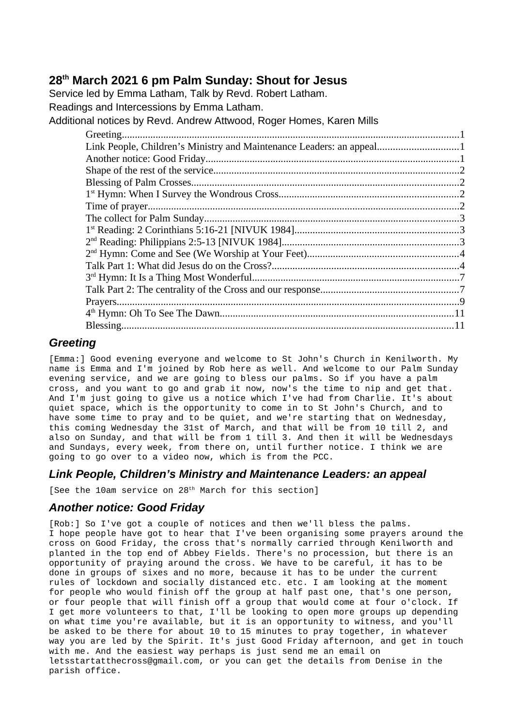# **28th March 2021 6 pm Palm Sunday: Shout for Jesus**

Service led by Emma Latham, Talk by Revd. Robert Latham. Readings and Intercessions by Emma Latham. Additional notices by Revd. Andrew Attwood, Roger Homes, Karen Mills

| Link People, Children's Ministry and Maintenance Leaders: an appeal1 |  |
|----------------------------------------------------------------------|--|
|                                                                      |  |
|                                                                      |  |
|                                                                      |  |
|                                                                      |  |
|                                                                      |  |
|                                                                      |  |
|                                                                      |  |
|                                                                      |  |
|                                                                      |  |
|                                                                      |  |
|                                                                      |  |
|                                                                      |  |
|                                                                      |  |
|                                                                      |  |
|                                                                      |  |
|                                                                      |  |

## <span id="page-0-2"></span>*Greeting*

[Emma:] Good evening everyone and welcome to St John's Church in Kenilworth. My name is Emma and I'm joined by Rob here as well. And welcome to our Palm Sunday evening service, and we are going to bless our palms. So if you have a palm cross, and you want to go and grab it now, now's the time to nip and get that. And I'm just going to give us a notice which I've had from Charlie. It's about quiet space, which is the opportunity to come in to St John's Church, and to have some time to pray and to be quiet, and we're starting that on Wednesday, this coming Wednesday the 31st of March, and that will be from 10 till 2, and also on Sunday, and that will be from 1 till 3. And then it will be Wednesdays and Sundays, every week, from there on, until further notice. I think we are going to go over to a video now, which is from the PCC.

## <span id="page-0-1"></span>*Link People, Children's Ministry and Maintenance Leaders: an appeal*

[See the 10am service on 28<sup>th</sup> March for this section]

## <span id="page-0-0"></span>*Another notice: Good Friday*

[Rob:] So I've got a couple of notices and then we'll bless the palms. I hope people have got to hear that I've been organising some prayers around the cross on Good Friday, the cross that's normally carried through Kenilworth and planted in the top end of Abbey Fields. There's no procession, but there is an opportunity of praying around the cross. We have to be careful, it has to be done in groups of sixes and no more, because it has to be under the current rules of lockdown and socially distanced etc. etc. I am looking at the moment for people who would finish off the group at half past one, that's one person, or four people that will finish off a group that would come at four o'clock. If I get more volunteers to that, I'll be looking to open more groups up depending on what time you're available, but it is an opportunity to witness, and you'll be asked to be there for about 10 to 15 minutes to pray together, in whatever way you are led by the Spirit. It's just Good Friday afternoon, and get in touch with me. And the easiest way perhaps is just send me an email on letsstartatthecross@gmail.com, or you can get the details from Denise in the parish office.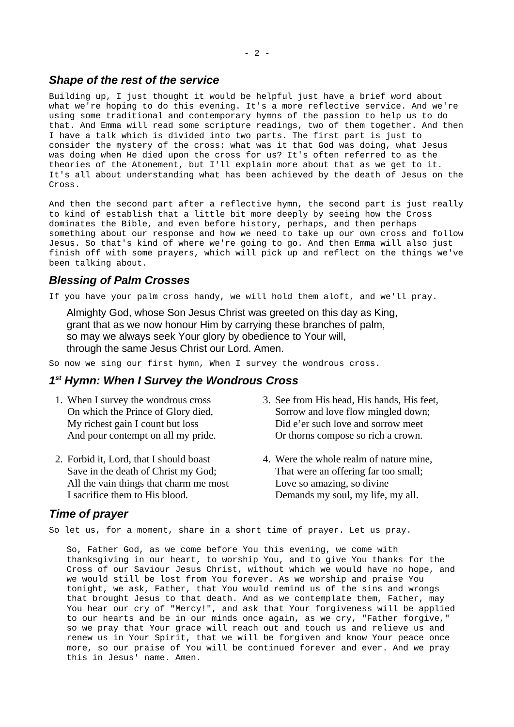#### <span id="page-1-3"></span>*Shape of the rest of the service*

Building up, I just thought it would be helpful just have a brief word about what we're hoping to do this evening. It's a more reflective service. And we're using some traditional and contemporary hymns of the passion to help us to do that. And Emma will read some scripture readings, two of them together. And then I have a talk which is divided into two parts. The first part is just to consider the mystery of the cross: what was it that God was doing, what Jesus was doing when He died upon the cross for us? It's often referred to as the theories of the Atonement, but I'll explain more about that as we get to it. It's all about understanding what has been achieved by the death of Jesus on the Cross.

And then the second part after a reflective hymn, the second part is just really to kind of establish that a little bit more deeply by seeing how the Cross dominates the Bible, and even before history, perhaps, and then perhaps something about our response and how we need to take up our own cross and follow Jesus. So that's kind of where we're going to go. And then Emma will also just finish off with some prayers, which will pick up and reflect on the things we've been talking about.

### <span id="page-1-2"></span>*Blessing of Palm Crosses*

If you have your palm cross handy, we will hold them aloft, and we'll pray.

Almighty God, whose Son Jesus Christ was greeted on this day as King, grant that as we now honour Him by carrying these branches of palm, so may we always seek Your glory by obedience to Your will, through the same Jesus Christ our Lord. Amen.

So now we sing our first hymn, When I survey the wondrous cross.

## <span id="page-1-0"></span>*1 st Hymn: When I Survey the Wondrous Cross*

| 1. When I survey the wondrous cross     | 3. See from His head, His hands, His feet, |
|-----------------------------------------|--------------------------------------------|
| On which the Prince of Glory died,      | Sorrow and love flow mingled down;         |
| My richest gain I count but loss        | Did e'er such love and sorrow meet         |
| And pour contempt on all my pride.      | Or thorns compose so rich a crown.         |
| 2. Forbid it, Lord, that I should boast | 4. Were the whole realm of nature mine,    |
| Save in the death of Christ my God;     | That were an offering far too small;       |
| All the vain things that charm me most  | Love so amazing, so divine                 |

<span id="page-1-1"></span>*Time of prayer*

I sacrifice them to His blood.

So let us, for a moment, share in a short time of prayer. Let us pray.

So, Father God, as we come before You this evening, we come with thanksgiving in our heart, to worship You, and to give You thanks for the Cross of our Saviour Jesus Christ, without which we would have no hope, and we would still be lost from You forever. As we worship and praise You tonight, we ask, Father, that You would remind us of the sins and wrongs that brought Jesus to that death. And as we contemplate them, Father, may You hear our cry of "Mercy!", and ask that Your forgiveness will be applied to our hearts and be in our minds once again, as we cry, "Father forgive," so we pray that Your grace will reach out and touch us and relieve us and renew us in Your Spirit, that we will be forgiven and know Your peace once more, so our praise of You will be continued forever and ever. And we pray this in Jesus' name. Amen.

Demands my soul, my life, my all.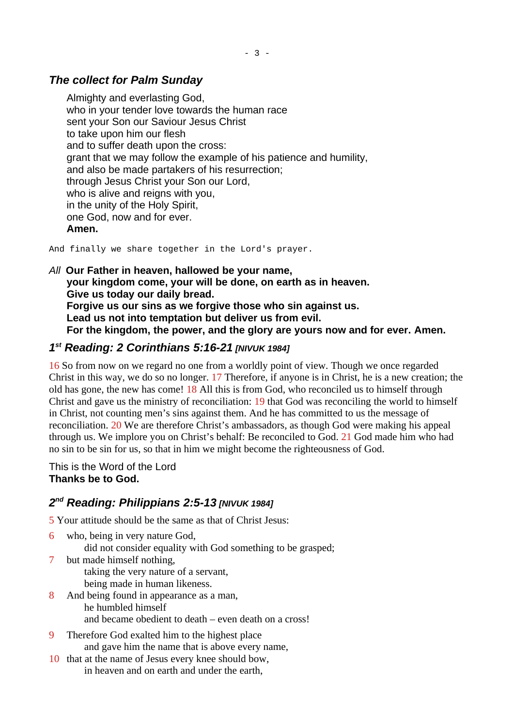# <span id="page-2-2"></span>*The collect for Palm Sunday*

Almighty and everlasting God, who in your tender love towards the human race sent your Son our Saviour Jesus Christ to take upon him our flesh and to suffer death upon the cross: grant that we may follow the example of his patience and humility, and also be made partakers of his resurrection; through Jesus Christ your Son our Lord, who is alive and reigns with you, in the unity of the Holy Spirit, one God, now and for ever. **Amen.** 

And finally we share together in the Lord's prayer.

*All* **Our Father in heaven, hallowed be your name, your kingdom come, your will be done, on earth as in heaven. Give us today our daily bread. Forgive us our sins as we forgive those who sin against us. Lead us not into temptation but deliver us from evil. For the kingdom, the power, and the glory are yours now and for ever. Amen.**

# <span id="page-2-1"></span>*1 st Reading: 2 Corinthians 5:16-21 [NIVUK 1984]*

16 So from now on we regard no one from a worldly point of view. Though we once regarded Christ in this way, we do so no longer. 17 Therefore, if anyone is in Christ, he is a new creation; the old has gone, the new has come! 18 All this is from God, who reconciled us to himself through Christ and gave us the ministry of reconciliation: 19 that God was reconciling the world to himself in Christ, not counting men's sins against them. And he has committed to us the message of reconciliation. 20 We are therefore Christ's ambassadors, as though God were making his appeal through us. We implore you on Christ's behalf: Be reconciled to God. 21 God made him who had no sin to be sin for us, so that in him we might become the righteousness of God.

This is the Word of the Lord **Thanks be to God.**

# <span id="page-2-0"></span>*2 nd Reading: Philippians 2:5-13 [NIVUK 1984]*

5 Your attitude should be the same as that of Christ Jesus:

- 6 who, being in very nature God,
	- did not consider equality with God something to be grasped;
- 7 but made himself nothing, taking the very nature of a servant, being made in human likeness.
- 8 And being found in appearance as a man, he humbled himself and became obedient to death – even death on a cross!
- 9 Therefore God exalted him to the highest place and gave him the name that is above every name,
- 10 that at the name of Jesus every knee should bow, in heaven and on earth and under the earth,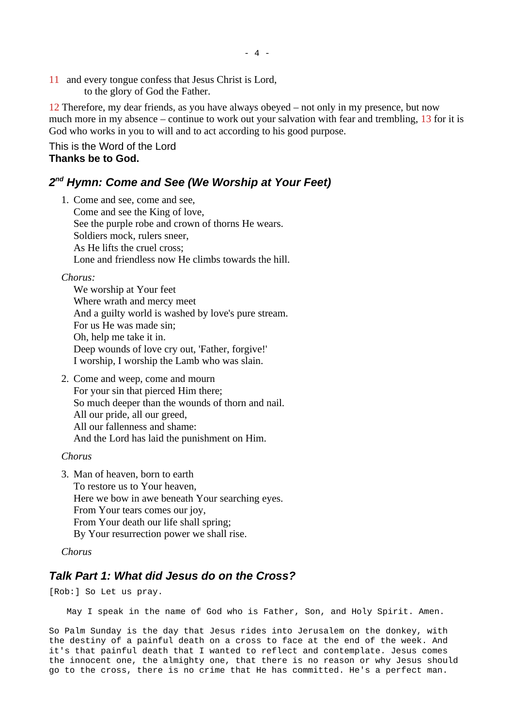11 and every tongue confess that Jesus Christ is Lord, to the glory of God the Father.

12 Therefore, my dear friends, as you have always obeyed – not only in my presence, but now much more in my absence – continue to work out your salvation with fear and trembling, 13 for it is God who works in you to will and to act according to his good purpose.

This is the Word of the Lord **Thanks be to God.**

## <span id="page-3-1"></span>*2 nd Hymn: Come and See (We Worship at Your Feet)*

1. Come and see, come and see, Come and see the King of love, See the purple robe and crown of thorns He wears. Soldiers mock, rulers sneer, As He lifts the cruel cross; Lone and friendless now He climbs towards the hill.

#### *Chorus:*

We worship at Your feet Where wrath and mercy meet And a guilty world is washed by love's pure stream. For us He was made sin; Oh, help me take it in. Deep wounds of love cry out, 'Father, forgive!' I worship, I worship the Lamb who was slain.

2. Come and weep, come and mourn For your sin that pierced Him there; So much deeper than the wounds of thorn and nail. All our pride, all our greed, All our fallenness and shame: And the Lord has laid the punishment on Him.

#### *Chorus*

3. Man of heaven, born to earth To restore us to Your heaven, Here we bow in awe beneath Your searching eyes. From Your tears comes our joy, From Your death our life shall spring; By Your resurrection power we shall rise.

*Chorus*

### <span id="page-3-0"></span>*Talk Part 1: What did Jesus do on the Cross?*

[Rob:] So Let us pray.

May I speak in the name of God who is Father, Son, and Holy Spirit. Amen.

So Palm Sunday is the day that Jesus rides into Jerusalem on the donkey, with the destiny of a painful death on a cross to face at the end of the week. And it's that painful death that I wanted to reflect and contemplate. Jesus comes the innocent one, the almighty one, that there is no reason or why Jesus should go to the cross, there is no crime that He has committed. He's a perfect man.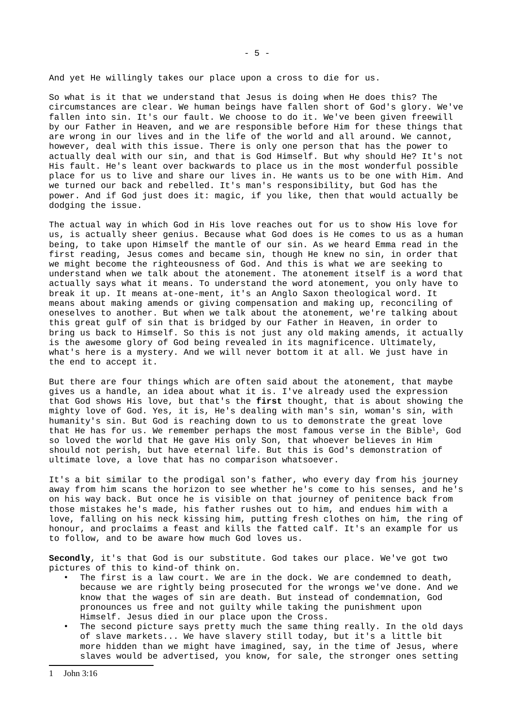And yet He willingly takes our place upon a cross to die for us.

So what is it that we understand that Jesus is doing when He does this? The circumstances are clear. We human beings have fallen short of God's glory. We've fallen into sin. It's our fault. We choose to do it. We've been given freewill by our Father in Heaven, and we are responsible before Him for these things that are wrong in our lives and in the life of the world and all around. We cannot, however, deal with this issue. There is only one person that has the power to actually deal with our sin, and that is God Himself. But why should He? It's not His fault. He's leant over backwards to place us in the most wonderful possible place for us to live and share our lives in. He wants us to be one with Him. And we turned our back and rebelled. It's man's responsibility, but God has the power. And if God just does it: magic, if you like, then that would actually be dodging the issue.

The actual way in which God in His love reaches out for us to show His love for us, is actually sheer genius. Because what God does is He comes to us as a human being, to take upon Himself the mantle of our sin. As we heard Emma read in the first reading, Jesus comes and became sin, though He knew no sin, in order that we might become the righteousness of God. And this is what we are seeking to understand when we talk about the atonement. The atonement itself is a word that actually says what it means. To understand the word atonement, you only have to break it up. It means at-one-ment, it's an Anglo Saxon theological word. It means about making amends or giving compensation and making up, reconciling of oneselves to another. But when we talk about the atonement, we're talking about this great gulf of sin that is bridged by our Father in Heaven, in order to bring us back to Himself. So this is not just any old making amends, it actually is the awesome glory of God being revealed in its magnificence. Ultimately, what's here is a mystery. And we will never bottom it at all. We just have in the end to accept it.

But there are four things which are often said about the atonement, that maybe gives us a handle, an idea about what it is. I've already used the expression that God shows His love, but that's the **first** thought, that is about showing the mighty love of God. Yes, it is, He's dealing with man's sin, woman's sin, with humanity's sin. But God is reaching down to us to demonstrate the great love that He has for us. We remember perhaps the most famous verse in the Bible<sup>[1](#page-4-0)</sup>, God so loved the world that He gave His only Son, that whoever believes in Him should not perish, but have eternal life. But this is God's demonstration of ultimate love, a love that has no comparison whatsoever.

It's a bit similar to the prodigal son's father, who every day from his journey away from him scans the horizon to see whether he's come to his senses, and he's on his way back. But once he is visible on that journey of penitence back from those mistakes he's made, his father rushes out to him, and endues him with a love, falling on his neck kissing him, putting fresh clothes on him, the ring of honour, and proclaims a feast and kills the fatted calf. It's an example for us to follow, and to be aware how much God loves us.

**Secondly**, it's that God is our substitute. God takes our place. We've got two pictures of this to kind-of think on.

- The first is a law court. We are in the dock. We are condemned to death, because we are rightly being prosecuted for the wrongs we've done. And we know that the wages of sin are death. But instead of condemnation, God pronounces us free and not guilty while taking the punishment upon Himself. Jesus died in our place upon the Cross.
- <span id="page-4-0"></span>The second picture says pretty much the same thing really. In the old days of slave markets... We have slavery still today, but it's a little bit more hidden than we might have imagined, say, in the time of Jesus, where slaves would be advertised, you know, for sale, the stronger ones setting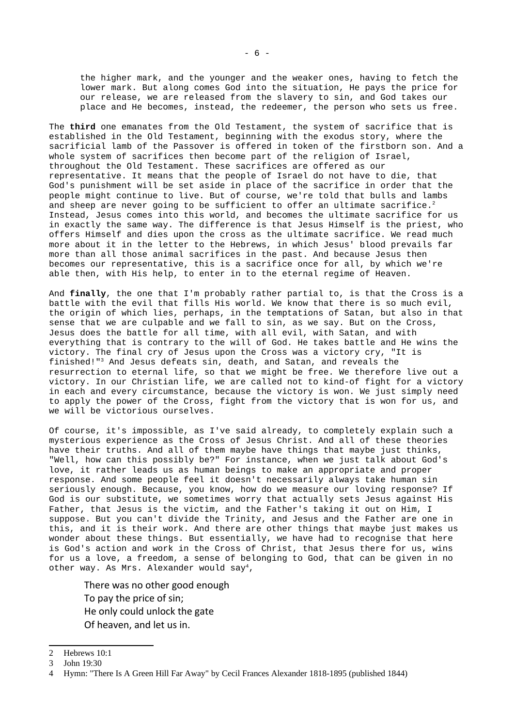the higher mark, and the younger and the weaker ones, having to fetch the lower mark. But along comes God into the situation, He pays the price for our release, we are released from the slavery to sin, and God takes our place and He becomes, instead, the redeemer, the person who sets us free.

The **third** one emanates from the Old Testament, the system of sacrifice that is established in the Old Testament, beginning with the exodus story, where the sacrificial lamb of the Passover is offered in token of the firstborn son. And a whole system of sacrifices then become part of the religion of Israel, throughout the Old Testament. These sacrifices are offered as our representative. It means that the people of Israel do not have to die, that God's punishment will be set aside in place of the sacrifice in order that the people might continue to live. But of course, we're told that bulls and lambs and sheep are never going to be sufficient to offer an ultimate sacrifice.<sup>[2](#page-5-0)</sup> Instead, Jesus comes into this world, and becomes the ultimate sacrifice for us in exactly the same way. The difference is that Jesus Himself is the priest, who offers Himself and dies upon the cross as the ultimate sacrifice. We read much more about it in the letter to the Hebrews, in which Jesus' blood prevails far more than all those animal sacrifices in the past. And because Jesus then becomes our representative, this is a sacrifice once for all, by which we're able then, with His help, to enter in to the eternal regime of Heaven.

And **finally**, the one that I'm probably rather partial to, is that the Cross is a battle with the evil that fills His world. We know that there is so much evil, the origin of which lies, perhaps, in the temptations of Satan, but also in that sense that we are culpable and we fall to sin, as we say. But on the Cross, Jesus does the battle for all time, with all evil, with Satan, and with everything that is contrary to the will of God. He takes battle and He wins the victory. The final cry of Jesus upon the Cross was a victory cry, "It is finished!"[3](#page-5-1) And Jesus defeats sin, death, and Satan, and reveals the resurrection to eternal life, so that we might be free. We therefore live out a victory. In our Christian life, we are called not to kind-of fight for a victory in each and every circumstance, because the victory is won. We just simply need to apply the power of the Cross, fight from the victory that is won for us, and we will be victorious ourselves.

Of course, it's impossible, as I've said already, to completely explain such a mysterious experience as the Cross of Jesus Christ. And all of these theories have their truths. And all of them maybe have things that maybe just thinks, "Well, how can this possibly be?" For instance, when we just talk about God's love, it rather leads us as human beings to make an appropriate and proper response. And some people feel it doesn't necessarily always take human sin seriously enough. Because, you know, how do we measure our loving response? If God is our substitute, we sometimes worry that actually sets Jesus against His Father, that Jesus is the victim, and the Father's taking it out on Him, I suppose. But you can't divide the Trinity, and Jesus and the Father are one in this, and it is their work. And there are other things that maybe just makes us wonder about these things. But essentially, we have had to recognise that here is God's action and work in the Cross of Christ, that Jesus there for us, wins for us a love, a freedom, a sense of belonging to God, that can be given in no other way. As Mrs. Alexander would say[4](#page-5-2),

There was no other good enough To pay the price of sin; He only could unlock the gate Of heaven, and let us in.

<span id="page-5-0"></span><sup>2</sup> Hebrews 10:1

<span id="page-5-1"></span><sup>3</sup> John 19:30

<span id="page-5-2"></span><sup>4</sup> Hymn: "There Is A Green Hill Far Away" by Cecil Frances Alexander 1818-1895 (published 1844)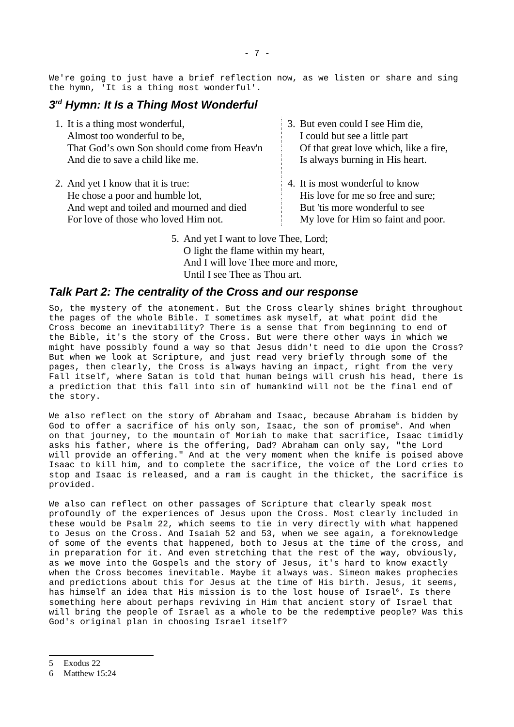We're going to just have a brief reflection now, as we listen or share and sing the hymn, 'It is a thing most wonderful'.

## <span id="page-6-1"></span>*3 rd Hymn: It Is a Thing Most Wonderful*

- 1. It is a thing most wonderful, Almost too wonderful to be, That God's own Son should come from Heav'n And die to save a child like me.
- 2. And yet I know that it is true: He chose a poor and humble lot, And wept and toiled and mourned and died For love of those who loved Him not.
- 3. But even could I see Him die, I could but see a little part Of that great love which, like a fire, Is always burning in His heart.
- 4. It is most wonderful to know His love for me so free and sure; But 'tis more wonderful to see My love for Him so faint and poor.
- 5. And yet I want to love Thee, Lord; O light the flame within my heart, And I will love Thee more and more, Until I see Thee as Thou art.

#### <span id="page-6-0"></span>*Talk Part 2: The centrality of the Cross and our response*

So, the mystery of the atonement. But the Cross clearly shines bright throughout the pages of the whole Bible. I sometimes ask myself, at what point did the Cross become an inevitability? There is a sense that from beginning to end of the Bible, it's the story of the Cross. But were there other ways in which we might have possibly found a way so that Jesus didn't need to die upon the Cross? But when we look at Scripture, and just read very briefly through some of the pages, then clearly, the Cross is always having an impact, right from the very Fall itself, where Satan is told that human beings will crush his head, there is a prediction that this fall into sin of humankind will not be the final end of the story.

We also reflect on the story of Abraham and Isaac, because Abraham is bidden by God to offer a sacrifice of his only son, Isaac, the son of promise<sup>[5](#page-6-2)</sup>. And when on that journey, to the mountain of Moriah to make that sacrifice, Isaac timidly asks his father, where is the offering, Dad? Abraham can only say, "the Lord will provide an offering." And at the very moment when the knife is poised above Isaac to kill him, and to complete the sacrifice, the voice of the Lord cries to stop and Isaac is released, and a ram is caught in the thicket, the sacrifice is provided.

We also can reflect on other passages of Scripture that clearly speak most profoundly of the experiences of Jesus upon the Cross. Most clearly included in these would be Psalm 22, which seems to tie in very directly with what happened to Jesus on the Cross. And Isaiah 52 and 53, when we see again, a foreknowledge of some of the events that happened, both to Jesus at the time of the cross, and in preparation for it. And even stretching that the rest of the way, obviously, as we move into the Gospels and the story of Jesus, it's hard to know exactly when the Cross becomes inevitable. Maybe it always was. Simeon makes prophecies and predictions about this for Jesus at the time of His birth. Jesus, it seems, has himself an idea that His mission is to the lost house of Israel $^{\rm 6}$  $^{\rm 6}$  $^{\rm 6}$ . Is there something here about perhaps reviving in Him that ancient story of Israel that will bring the people of Israel as a whole to be the redemptive people? Was this God's original plan in choosing Israel itself?

- <span id="page-6-2"></span>5 Exodus 22
- <span id="page-6-3"></span>6 Matthew 15:24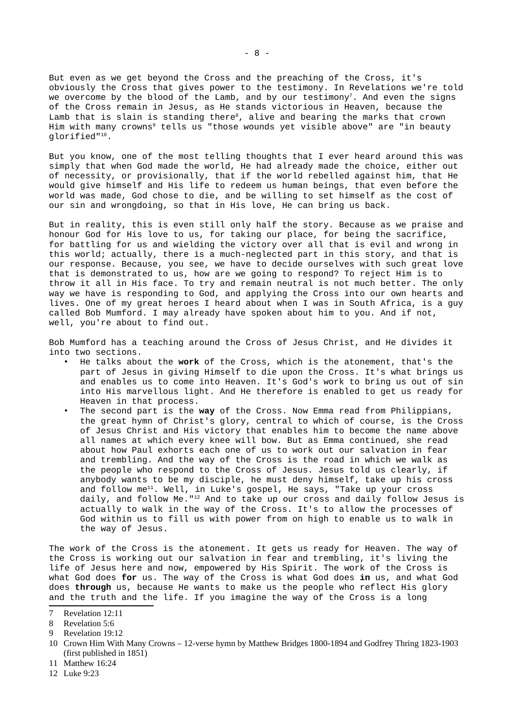But even as we get beyond the Cross and the preaching of the Cross, it's obviously the Cross that gives power to the testimony. In Revelations we're told we overcome by the blood of the Lamb, and by our testimony<sup>[7](#page-7-0)</sup>. And even the signs of the Cross remain in Jesus, as He stands victorious in Heaven, because the Lamb that is slain is standing there<sup>[8](#page-7-1)</sup>, alive and bearing the marks that crown Him with many crowns<sup>[9](#page-7-2)</sup> tells us "those wounds yet visible above" are "in beauty glorified" [10](#page-7-3).

But you know, one of the most telling thoughts that I ever heard around this was simply that when God made the world, He had already made the choice, either out of necessity, or provisionally, that if the world rebelled against him, that He would give himself and His life to redeem us human beings, that even before the world was made, God chose to die, and be willing to set himself as the cost of our sin and wrongdoing, so that in His love, He can bring us back.

But in reality, this is even still only half the story. Because as we praise and honour God for His love to us, for taking our place, for being the sacrifice, for battling for us and wielding the victory over all that is evil and wrong in this world; actually, there is a much-neglected part in this story, and that is our response. Because, you see, we have to decide ourselves with such great love that is demonstrated to us, how are we going to respond? To reject Him is to throw it all in His face. To try and remain neutral is not much better. The only way we have is responding to God, and applying the Cross into our own hearts and lives. One of my great heroes I heard about when I was in South Africa, is a guy called Bob Mumford. I may already have spoken about him to you. And if not, well, you're about to find out.

Bob Mumford has a teaching around the Cross of Jesus Christ, and He divides it into two sections.

- He talks about the **work** of the Cross, which is the atonement, that's the part of Jesus in giving Himself to die upon the Cross. It's what brings us and enables us to come into Heaven. It's God's work to bring us out of sin into His marvellous light. And He therefore is enabled to get us ready for Heaven in that process.
- The second part is the **way** of the Cross. Now Emma read from Philippians, the great hymn of Christ's glory, central to which of course, is the Cross of Jesus Christ and His victory that enables him to become the name above all names at which every knee will bow. But as Emma continued, she read about how Paul exhorts each one of us to work out our salvation in fear and trembling. And the way of the Cross is the road in which we walk as the people who respond to the Cross of Jesus. Jesus told us clearly, if anybody wants to be my disciple, he must deny himself, take up his cross and follow me[11](#page-7-4). Well, in Luke's gospel, He says, "Take up your cross daily, and follow Me."[12](#page-7-5) And to take up our cross and daily follow Jesus is actually to walk in the way of the Cross. It's to allow the processes of God within us to fill us with power from on high to enable us to walk in the way of Jesus.

The work of the Cross is the atonement. It gets us ready for Heaven. The way of the Cross is working out our salvation in fear and trembling, it's living the life of Jesus here and now, empowered by His Spirit. The work of the Cross is what God does **for** us. The way of the Cross is what God does **in** us, and what God does **through** us, because He wants to make us the people who reflect His glory and the truth and the life. If you imagine the way of the Cross is a long

- <span id="page-7-4"></span>11 Matthew 16:24
- <span id="page-7-5"></span>12 Luke 9:23

<span id="page-7-0"></span><sup>7</sup> Revelation 12:11

<span id="page-7-1"></span><sup>8</sup> Revelation 5:6

<span id="page-7-2"></span><sup>9</sup> Revelation 19:12

<span id="page-7-3"></span><sup>10</sup> Crown Him With Many Crowns – 12-verse hymn by Matthew Bridges 1800-1894 and Godfrey Thring 1823-1903 (first published in 1851)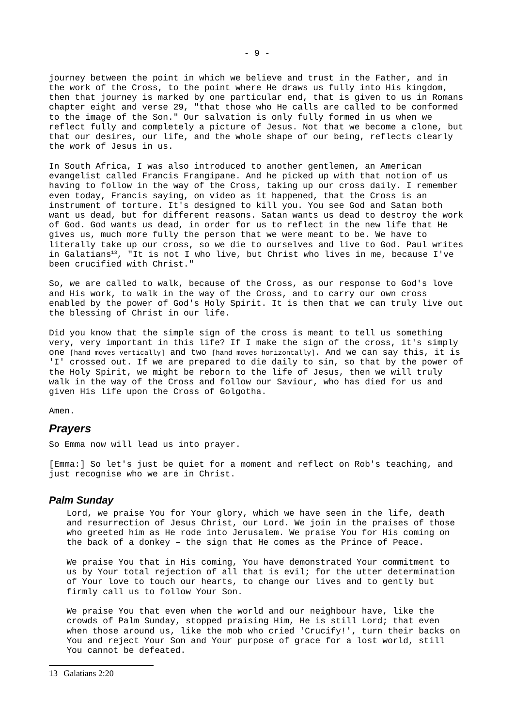journey between the point in which we believe and trust in the Father, and in the work of the Cross, to the point where He draws us fully into His kingdom, then that journey is marked by one particular end, that is given to us in Romans chapter eight and verse 29, "that those who He calls are called to be conformed to the image of the Son." Our salvation is only fully formed in us when we reflect fully and completely a picture of Jesus. Not that we become a clone, but that our desires, our life, and the whole shape of our being, reflects clearly the work of Jesus in us.

In South Africa, I was also introduced to another gentlemen, an American evangelist called Francis Frangipane. And he picked up with that notion of us having to follow in the way of the Cross, taking up our cross daily. I remember even today, Francis saying, on video as it happened, that the Cross is an instrument of torture. It's designed to kill you. You see God and Satan both want us dead, but for different reasons. Satan wants us dead to destroy the work of God. God wants us dead, in order for us to reflect in the new life that He gives us, much more fully the person that we were meant to be. We have to literally take up our cross, so we die to ourselves and live to God. Paul writes in Galatians<sup>[13](#page-8-1)</sup>, "It is not I who live, but Christ who lives in me, because I've been crucified with Christ."

So, we are called to walk, because of the Cross, as our response to God's love and His work, to walk in the way of the Cross, and to carry our own cross enabled by the power of God's Holy Spirit. It is then that we can truly live out the blessing of Christ in our life.

Did you know that the simple sign of the cross is meant to tell us something very, very important in this life? If I make the sign of the cross, it's simply one [hand moves vertically] and two [hand moves horizontally]. And we can say this, it is 'I' crossed out. If we are prepared to die daily to sin, so that by the power of the Holy Spirit, we might be reborn to the life of Jesus, then we will truly walk in the way of the Cross and follow our Saviour, who has died for us and given His life upon the Cross of Golgotha.

Amen.

#### <span id="page-8-0"></span>*Prayers*

So Emma now will lead us into prayer.

[Emma:] So let's just be quiet for a moment and reflect on Rob's teaching, and just recognise who we are in Christ.

#### *Palm Sunday*

Lord, we praise You for Your glory, which we have seen in the life, death and resurrection of Jesus Christ, our Lord. We join in the praises of those who greeted him as He rode into Jerusalem. We praise You for His coming on the back of a donkey – the sign that He comes as the Prince of Peace.

We praise You that in His coming, You have demonstrated Your commitment to us by Your total rejection of all that is evil; for the utter determination of Your love to touch our hearts, to change our lives and to gently but firmly call us to follow Your Son.

<span id="page-8-1"></span>We praise You that even when the world and our neighbour have, like the crowds of Palm Sunday, stopped praising Him, He is still Lord; that even when those around us, like the mob who cried 'Crucify!', turn their backs on You and reject Your Son and Your purpose of grace for a lost world, still You cannot be defeated.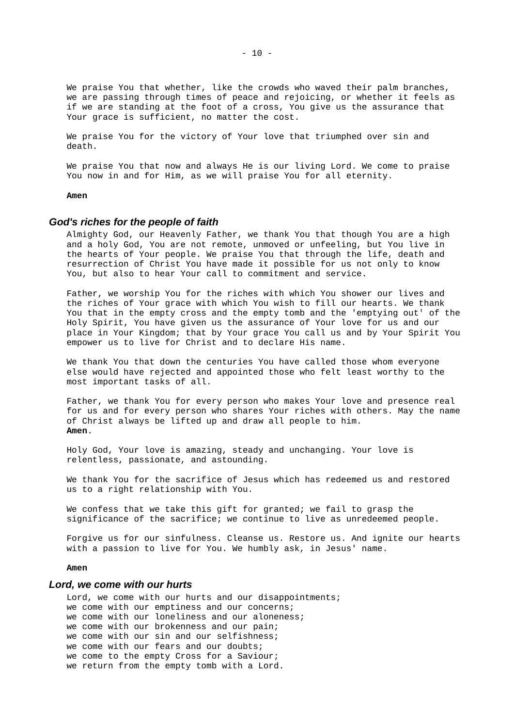We praise You that whether, like the crowds who waved their palm branches, we are passing through times of peace and rejoicing, or whether it feels as if we are standing at the foot of a cross, You give us the assurance that Your grace is sufficient, no matter the cost.

We praise You for the victory of Your love that triumphed over sin and death.

We praise You that now and always He is our living Lord. We come to praise You now in and for Him, as we will praise You for all eternity.

#### **Amen**

#### *God's riches for the people of faith*

Almighty God, our Heavenly Father, we thank You that though You are a high and a holy God, You are not remote, unmoved or unfeeling, but You live in the hearts of Your people. We praise You that through the life, death and resurrection of Christ You have made it possible for us not only to know You, but also to hear Your call to commitment and service.

Father, we worship You for the riches with which You shower our lives and the riches of Your grace with which You wish to fill our hearts. We thank You that in the empty cross and the empty tomb and the 'emptying out' of the Holy Spirit, You have given us the assurance of Your love for us and our place in Your Kingdom; that by Your grace You call us and by Your Spirit You empower us to live for Christ and to declare His name.

We thank You that down the centuries You have called those whom everyone else would have rejected and appointed those who felt least worthy to the most important tasks of all.

Father, we thank You for every person who makes Your love and presence real for us and for every person who shares Your riches with others. May the name of Christ always be lifted up and draw all people to him. **Amen**.

Holy God, Your love is amazing, steady and unchanging. Your love is relentless, passionate, and astounding.

We thank You for the sacrifice of Jesus which has redeemed us and restored us to a right relationship with You.

We confess that we take this gift for granted; we fail to grasp the significance of the sacrifice; we continue to live as unredeemed people.

Forgive us for our sinfulness. Cleanse us. Restore us. And ignite our hearts with a passion to live for You. We humbly ask, in Jesus' name.

#### **Amen**

#### *Lord, we come with our hurts*

Lord, we come with our hurts and our disappointments; we come with our emptiness and our concerns; we come with our loneliness and our aloneness; we come with our brokenness and our pain; we come with our sin and our selfishness; we come with our fears and our doubts; we come to the empty Cross for a Saviour; we return from the empty tomb with a Lord.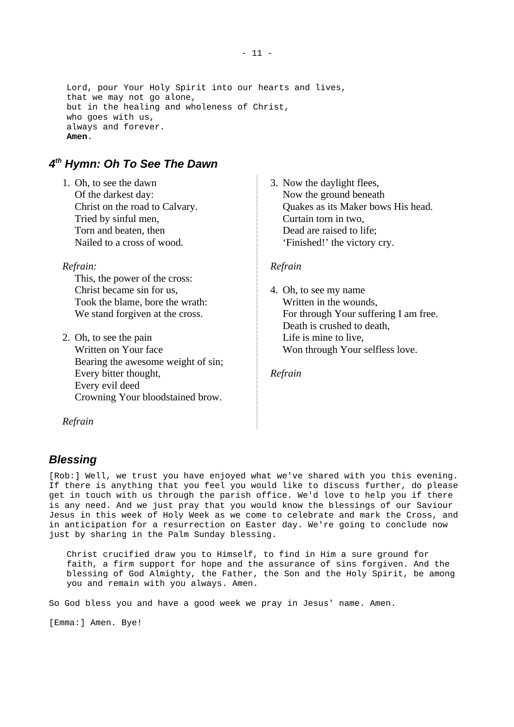Lord, pour Your Holy Spirit into our hearts and lives, that we may not go alone, but in the healing and wholeness of Christ, who goes with us, always and forever. **Amen**.

## <span id="page-10-1"></span>*4 th Hymn: Oh To See The Dawn*

1. Oh, to see the dawn Of the darkest day: Christ on the road to Calvary. Tried by sinful men, Torn and beaten, then Nailed to a cross of wood.

*Refrain:*

This, the power of the cross: Christ became sin for us, Took the blame, bore the wrath: We stand forgiven at the cross.

2. Oh, to see the pain Written on Your face Bearing the awesome weight of sin; Every bitter thought, Every evil deed Crowning Your bloodstained brow.

3. Now the daylight flees, Now the ground beneath Quakes as its Maker bows His head. Curtain torn in two, Dead are raised to life; 'Finished!' the victory cry.

#### *Refrain*

4. Oh, to see my name Written in the wounds, For through Your suffering I am free. Death is crushed to death, Life is mine to live, Won through Your selfless love.

*Refrain*

*Refrain*

## <span id="page-10-0"></span>*Blessing*

[Rob:] Well, we trust you have enjoyed what we've shared with you this evening. If there is anything that you feel you would like to discuss further, do please get in touch with us through the parish office. We'd love to help you if there is any need. And we just pray that you would know the blessings of our Saviour Jesus in this week of Holy Week as we come to celebrate and mark the Cross, and in anticipation for a resurrection on Easter day. We're going to conclude now just by sharing in the Palm Sunday blessing.

Christ crucified draw you to Himself, to find in Him a sure ground for faith, a firm support for hope and the assurance of sins forgiven. And the blessing of God Almighty, the Father, the Son and the Holy Spirit, be among you and remain with you always. Amen.

So God bless you and have a good week we pray in Jesus' name. Amen.

[Emma:] Amen. Bye!